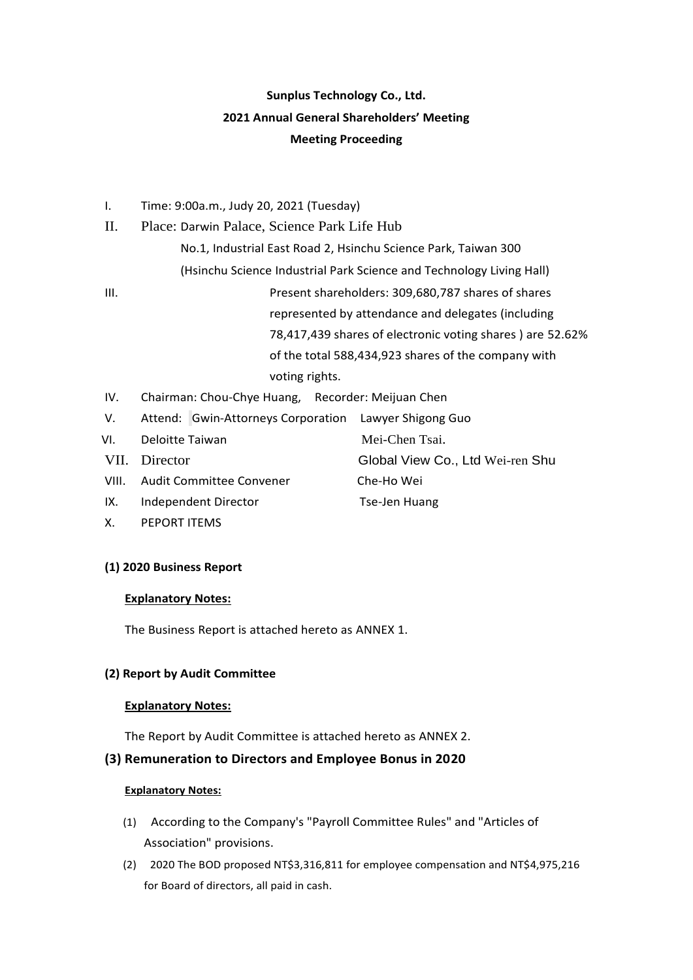# **Sunplus Technology Co., Ltd. 2021 Annual General Shareholders' Meeting Meeting Proceeding**

I. Time: 9:00a.m., Judy 20, 2021 (Tuesday)

| П.   | Place: Darwin Palace, Science Park Life Hub                          |
|------|----------------------------------------------------------------------|
|      | No.1, Industrial East Road 2, Hsinchu Science Park, Taiwan 300       |
|      | (Hsinchu Science Industrial Park Science and Technology Living Hall) |
| III. | Present shareholders: 309,680,787 shares of shares                   |
|      | represented by attendance and delegates (including                   |
|      | 78,417,439 shares of electronic voting shares) are 52.62%            |
|      | of the total 588,434,923 shares of the company with                  |
|      | voting rights.                                                       |
|      |                                                                      |

- IV. Chairman: Chou-Chye Huang, Recorder: Meijuan Chen
- V. Attend: Gwin-Attorneys Corporation Lawyer Shigong Guo VI. Deloitte Taiwan Mei-Chen Tsai. VII. Director Global View Co., Ltd Wei-ren Shu
- VIII. Audit Committee Convener Che-Ho Wei
- IX. Independent Director Tse-Jen Huang
- X. PEPORT ITEMS

# **(1) 2020 Business Report**

# **Explanatory Notes:**

The Business Report is attached hereto as ANNEX 1.

# **(2) Report by Audit Committee**

# **Explanatory Notes:**

The Report by Audit Committee is attached hereto as ANNEX 2.

# **(3) Remuneration to Directors and Employee Bonus in 2020**

### **Explanatory Notes:**

- (1) According to the Company's "Payroll Committee Rules" and "Articles of Association" provisions.
- (2) 2020 The BOD proposed NT\$3,316,811 for employee compensation and NT\$4,975,216 for Board of directors, all paid in cash.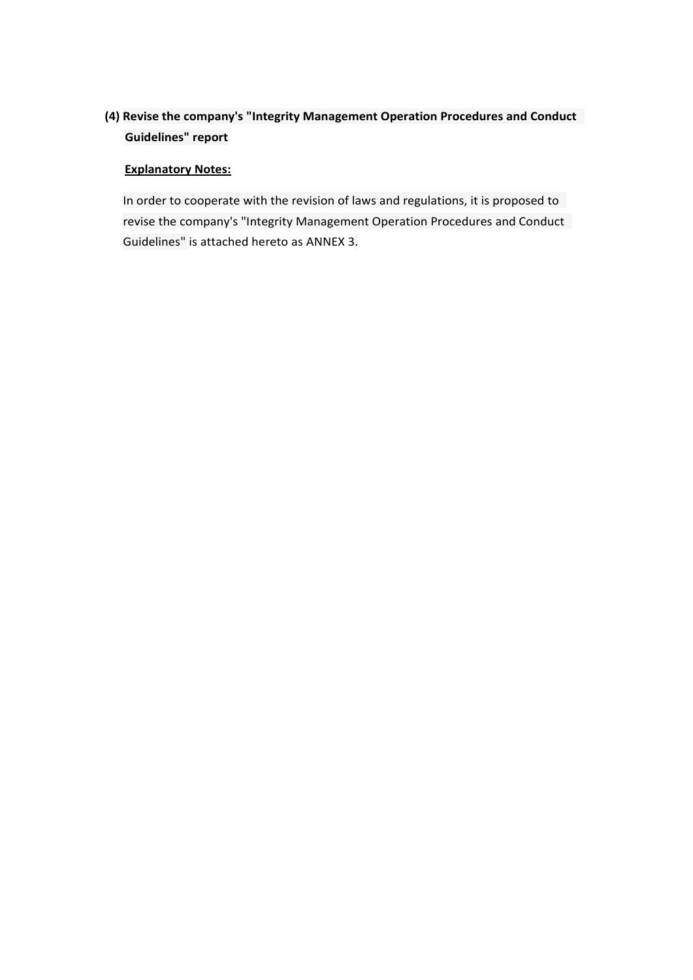# **(4) Revise the company's "Integrity Management Operation Procedures and Conduct Guidelines" report**

## **Explanatory Notes:**

In order to cooperate with the revision of laws and regulations, it is proposed to revise the company's "Integrity Management Operation Procedures and Conduct Guidelines" is attached hereto as ANNEX 3.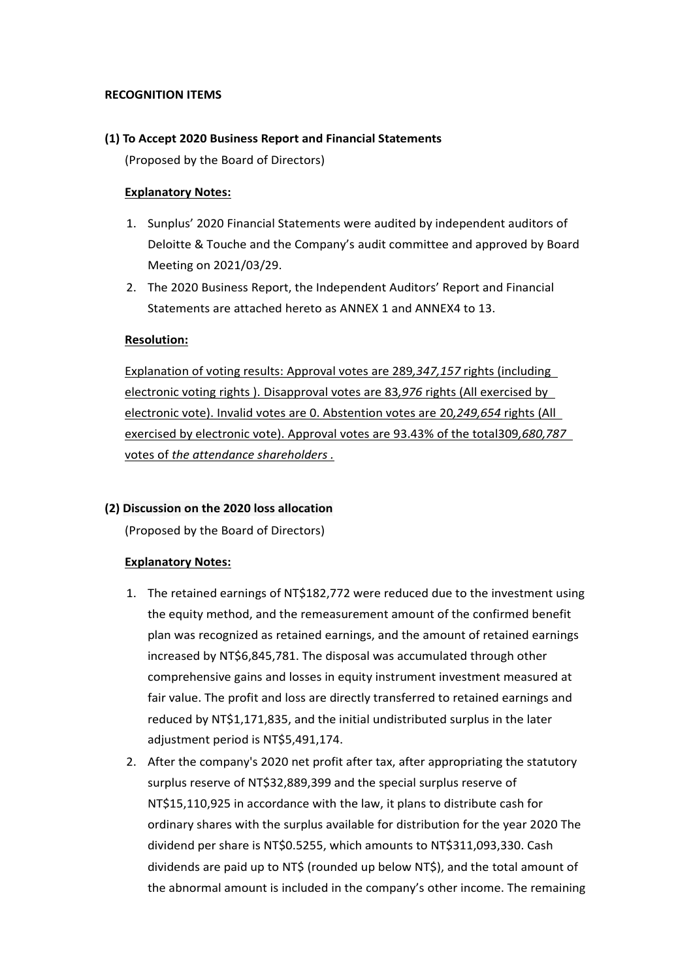#### **RECOGNITION ITEMS**

#### **(1) To Accept 2020 Business Report and Financial Statements**

(Proposed by the Board of Directors)

#### **Explanatory Notes:**

- 1. Sunplus' 2020 Financial Statements were audited by independent auditors of Deloitte & Touche and the Company's audit committee and approved by Board Meeting on 2021/03/29.
- 2. The 2020 Business Report, the Independent Auditors' Report and Financial Statements are attached hereto as ANNEX 1 and ANNEX4 to 13.

#### **Resolution:**

Explanation of voting results: Approval votes are 289*,347,157* rights (including electronic voting rights ). Disapproval votes are 83*,976* rights (All exercised by electronic vote). Invalid votes are 0. Abstention votes are 20*,249,654* rights (All exercised by electronic vote). Approval votes are 93.43% of the total309*,680,787* votes of *the attendance shareholders .*

#### **(2) Discussion on the 2020 loss allocation**

(Proposed by the Board of Directors)

#### **Explanatory Notes:**

- 1. The retained earnings of NT\$182,772 were reduced due to the investment using the equity method, and the remeasurement amount of the confirmed benefit plan was recognized as retained earnings, and the amount of retained earnings increased by NT\$6,845,781. The disposal was accumulated through other comprehensive gains and losses in equity instrument investment measured at fair value. The profit and loss are directly transferred to retained earnings and reduced by NT\$1,171,835, and the initial undistributed surplus in the later adjustment period is NT\$5,491,174.
- 2. After the company's 2020 net profit after tax, after appropriating the statutory surplus reserve of NT\$32,889,399 and the special surplus reserve of NT\$15,110,925 in accordance with the law, it plans to distribute cash for ordinary shares with the surplus available for distribution for the year 2020 The dividend per share is NT\$0.5255, which amounts to NT\$311,093,330. Cash dividends are paid up to NT\$ (rounded up below NT\$), and the total amount of the abnormal amount is included in the company's other income. The remaining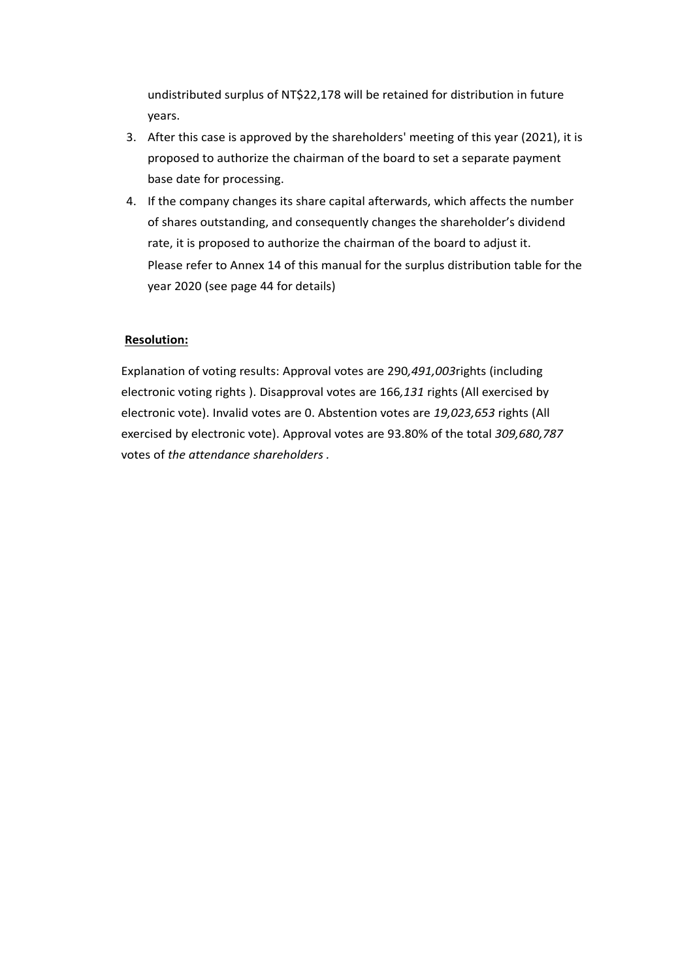undistributed surplus of NT\$22,178 will be retained for distribution in future years.

- 3. After this case is approved by the shareholders' meeting of this year (2021), it is proposed to authorize the chairman of the board to set a separate payment base date for processing.
- 4. If the company changes its share capital afterwards, which affects the number of shares outstanding, and consequently changes the shareholder's dividend rate, it is proposed to authorize the chairman of the board to adjust it. Please refer to Annex 14 of this manual for the surplus distribution table for the year 2020 (see page 44 for details)

## **Resolution:**

Explanation of voting results: Approval votes are 290*,491,003*rights (including electronic voting rights ). Disapproval votes are 166*,131* rights (All exercised by electronic vote). Invalid votes are 0. Abstention votes are *19,023,653* rights (All exercised by electronic vote). Approval votes are 93.80% of the total *309,680,787* votes of *the attendance shareholders .*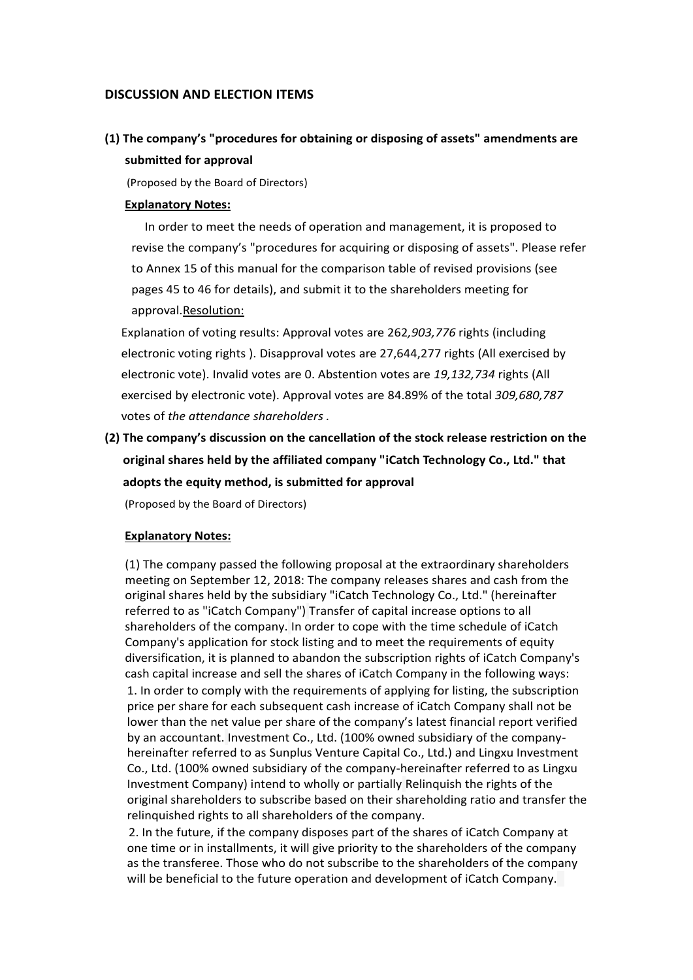## **DISCUSSION AND ELECTION ITEMS**

# **(1) The company's "procedures for obtaining or disposing of assets" amendments are**

### **submitted for approval**

(Proposed by the Board of Directors)

## **Explanatory Notes:**

In order to meet the needs of operation and management, it is proposed to revise the company's "procedures for acquiring or disposing of assets". Please refer to Annex 15 of this manual for the comparison table of revised provisions (see pages 45 to 46 for details), and submit it to the shareholders meeting for approval.Resolution:

Explanation of voting results: Approval votes are 262*,903,776* rights (including electronic voting rights ). Disapproval votes are 27,644,277 rights (All exercised by electronic vote). Invalid votes are 0. Abstention votes are *19,132,734* rights (All exercised by electronic vote). Approval votes are 84.89% of the total *309,680,787* votes of *the attendance shareholders .*

**(2) The company's discussion on the cancellation of the stock release restriction on the original shares held by the affiliated company "iCatch Technology Co., Ltd." that adopts the equity method, is submitted for approval**

(Proposed by the Board of Directors)

### **Explanatory Notes:**

(1) The company passed the following proposal at the extraordinary shareholders meeting on September 12, 2018: The company releases shares and cash from the original shares held by the subsidiary "iCatch Technology Co., Ltd." (hereinafter referred to as "iCatch Company") Transfer of capital increase options to all shareholders of the company. In order to cope with the time schedule of iCatch Company's application for stock listing and to meet the requirements of equity diversification, it is planned to abandon the subscription rights of iCatch Company's cash capital increase and sell the shares of iCatch Company in the following ways: 1. In order to comply with the requirements of applying for listing, the subscription price per share for each subsequent cash increase of iCatch Company shall not be lower than the net value per share of the company's latest financial report verified by an accountant. Investment Co., Ltd. (100% owned subsidiary of the companyhereinafter referred to as Sunplus Venture Capital Co., Ltd.) and Lingxu Investment Co., Ltd. (100% owned subsidiary of the company-hereinafter referred to as Lingxu Investment Company) intend to wholly or partially Relinquish the rights of the original shareholders to subscribe based on their shareholding ratio and transfer the relinquished rights to all shareholders of the company.

2. In the future, if the company disposes part of the shares of iCatch Company at one time or in installments, it will give priority to the shareholders of the company as the transferee. Those who do not subscribe to the shareholders of the company will be beneficial to the future operation and development of iCatch Company.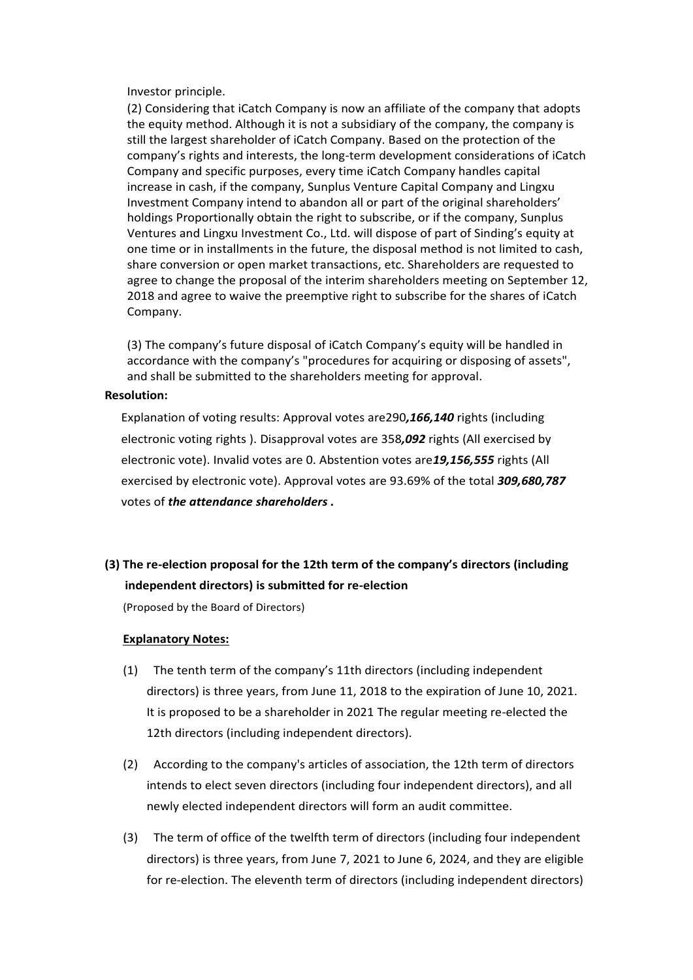Investor principle.

(2) Considering that iCatch Company is now an affiliate of the company that adopts the equity method. Although it is not a subsidiary of the company, the company is still the largest shareholder of iCatch Company. Based on the protection of the company's rights and interests, the long-term development considerations of iCatch Company and specific purposes, every time iCatch Company handles capital increase in cash, if the company, Sunplus Venture Capital Company and Lingxu Investment Company intend to abandon all or part of the original shareholders' holdings Proportionally obtain the right to subscribe, or if the company, Sunplus Ventures and Lingxu Investment Co., Ltd. will dispose of part of Sinding's equity at one time or in installments in the future, the disposal method is not limited to cash, share conversion or open market transactions, etc. Shareholders are requested to agree to change the proposal of the interim shareholders meeting on September 12, 2018 and agree to waive the preemptive right to subscribe for the shares of iCatch Company.

(3) The company's future disposal of iCatch Company's equity will be handled in accordance with the company's "procedures for acquiring or disposing of assets", and shall be submitted to the shareholders meeting for approval.

#### **Resolution:**

Explanation of voting results: Approval votes are290*,166,140* rights (including electronic voting rights ). Disapproval votes are 358*,092* rights (All exercised by electronic vote). Invalid votes are 0. Abstention votes are*19,156,555* rights (All exercised by electronic vote). Approval votes are 93.69% of the total *309,680,787* votes of *the attendance shareholders .*

# **(3) The re-election proposal for the 12th term of the company's directors (including independent directors) is submitted for re-election**

(Proposed by the Board of Directors)

### **Explanatory Notes:**

- (1) The tenth term of the company's 11th directors (including independent directors) is three years, from June 11, 2018 to the expiration of June 10, 2021. It is proposed to be a shareholder in 2021 The regular meeting re-elected the 12th directors (including independent directors).
- (2) According to the company's articles of association, the 12th term of directors intends to elect seven directors (including four independent directors), and all newly elected independent directors will form an audit committee.
- (3) The term of office of the twelfth term of directors (including four independent directors) is three years, from June 7, 2021 to June 6, 2024, and they are eligible for re-election. The eleventh term of directors (including independent directors)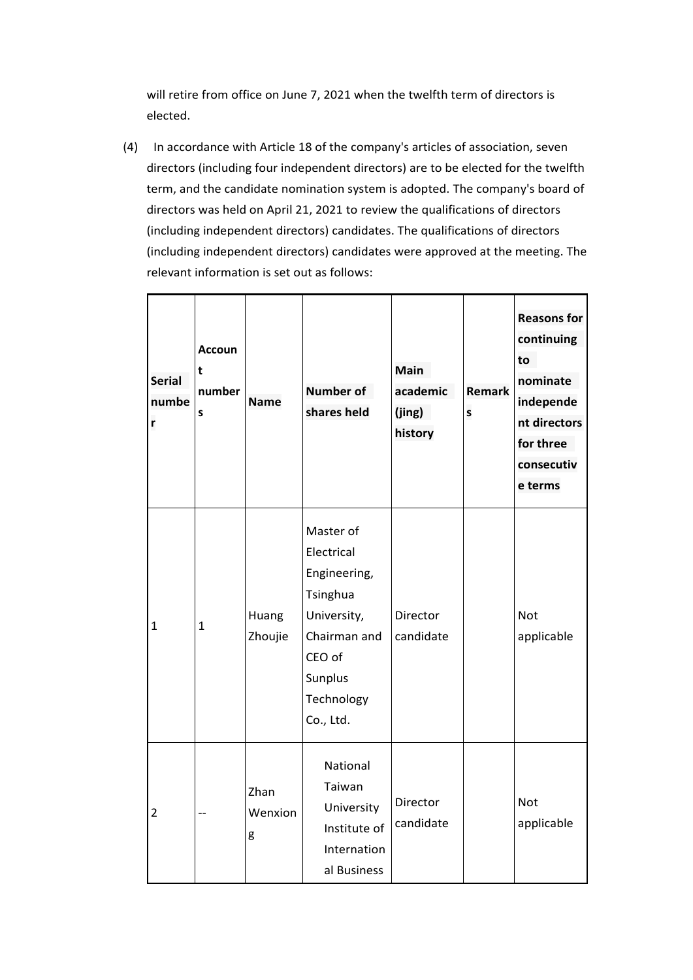will retire from office on June 7, 2021 when the twelfth term of directors is elected.

(4) In accordance with Article 18 of the company's articles of association, seven directors (including four independent directors) are to be elected for the twelfth term, and the candidate nomination system is adopted. The company's board of directors was held on April 21, 2021 to review the qualifications of directors (including independent directors) candidates. The qualifications of directors (including independent directors) candidates were approved at the meeting. The relevant information is set out as follows:

| <b>Serial</b><br>numbe<br>r | <b>Accoun</b><br>t<br>number<br>S | <b>Name</b>          | <b>Number of</b><br>shares held                                                                                                    | <b>Main</b><br>academic<br>(jing)<br>history | <b>Remark</b><br>S | <b>Reasons for</b><br>continuing<br>to<br>nominate<br>independe<br>nt directors<br>for three<br>consecutiv<br>e terms |
|-----------------------------|-----------------------------------|----------------------|------------------------------------------------------------------------------------------------------------------------------------|----------------------------------------------|--------------------|-----------------------------------------------------------------------------------------------------------------------|
| $\mathbf{1}$                | $\mathbf{1}$                      | Huang<br>Zhoujie     | Master of<br>Electrical<br>Engineering,<br>Tsinghua<br>University,<br>Chairman and<br>CEO of<br>Sunplus<br>Technology<br>Co., Ltd. | Director<br>candidate                        |                    | <b>Not</b><br>applicable                                                                                              |
| $\overline{2}$              | $-$                               | Zhan<br>Wenxion<br>g | National<br>Taiwan<br>University<br>Institute of<br>Internation<br>al Business                                                     | Director<br>candidate                        |                    | <b>Not</b><br>applicable                                                                                              |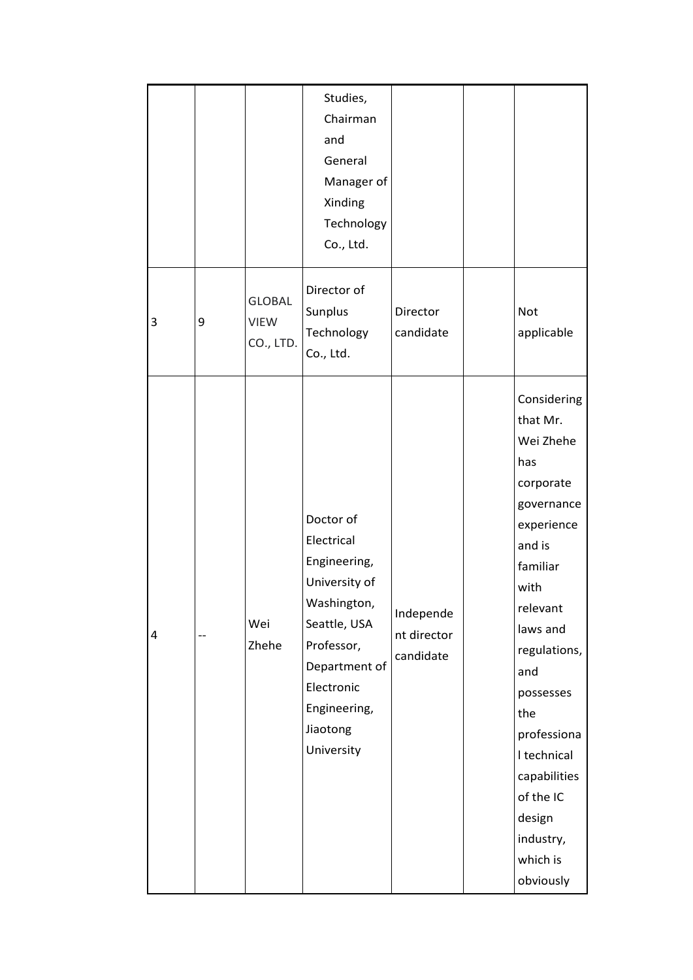|                |   |                                           | Studies,<br>Chairman<br>and<br>General<br>Manager of<br>Xinding<br>Technology<br>Co., Ltd.                                                                                     |                                       |                                                                                                                                                                                                                                                                                                  |
|----------------|---|-------------------------------------------|--------------------------------------------------------------------------------------------------------------------------------------------------------------------------------|---------------------------------------|--------------------------------------------------------------------------------------------------------------------------------------------------------------------------------------------------------------------------------------------------------------------------------------------------|
| 3              | 9 | <b>GLOBAL</b><br><b>VIEW</b><br>CO., LTD. | Director of<br>Sunplus<br>Technology<br>Co., Ltd.                                                                                                                              | Director<br>candidate                 | <b>Not</b><br>applicable                                                                                                                                                                                                                                                                         |
| $\overline{a}$ |   | Wei<br>Zhehe                              | Doctor of<br>Electrical<br>Engineering,<br>University of<br>Washington,<br>Seattle, USA<br>Professor,<br>Department of<br>Electronic<br>Engineering,<br>Jiaotong<br>University | Independe<br>nt director<br>candidate | Considering<br>that Mr.<br>Wei Zhehe<br>has<br>corporate<br>governance<br>experience<br>and is<br>familiar<br>with<br>relevant<br>laws and<br>regulations,<br>and<br>possesses<br>the<br>professiona<br>I technical<br>capabilities<br>of the IC<br>design<br>industry,<br>which is<br>obviously |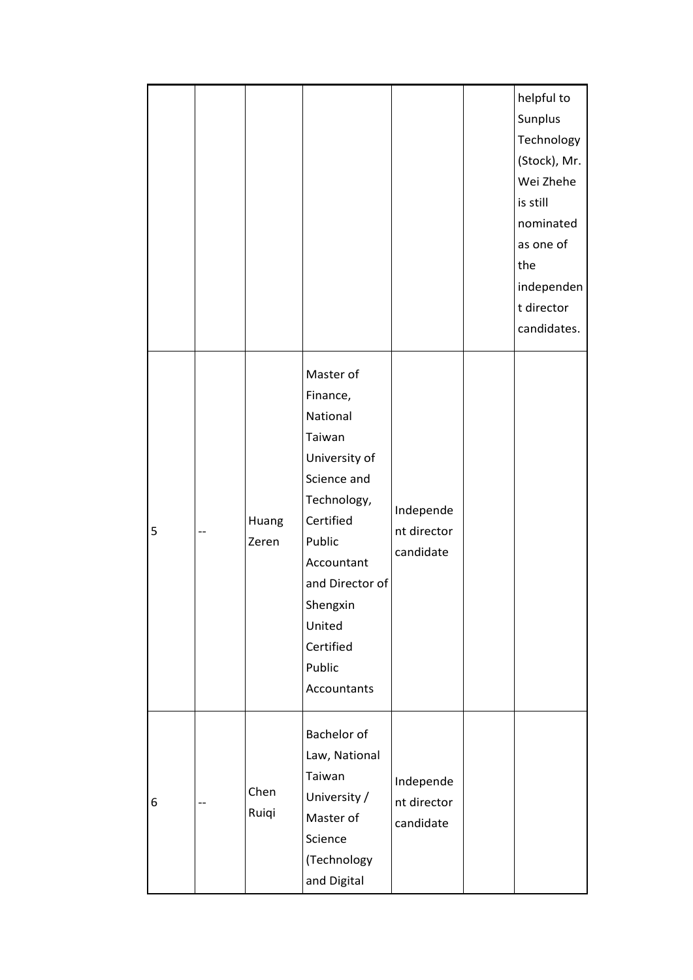|   |     |                |                                                                                                                                                                                                                |                                       | helpful to<br>Sunplus<br>Technology<br>(Stock), Mr.<br>Wei Zhehe<br>is still<br>nominated<br>as one of<br>the<br>independen<br>t director<br>candidates. |
|---|-----|----------------|----------------------------------------------------------------------------------------------------------------------------------------------------------------------------------------------------------------|---------------------------------------|----------------------------------------------------------------------------------------------------------------------------------------------------------|
| 5 | $-$ | Huang<br>Zeren | Master of<br>Finance,<br>National<br>Taiwan<br>University of<br>Science and<br>Technology,<br>Certified<br>Public<br>Accountant<br>and Director of<br>Shengxin<br>United<br>Certified<br>Public<br>Accountants | Independe<br>nt director<br>candidate |                                                                                                                                                          |
| 6 |     | Chen<br>Ruiqi  | Bachelor of<br>Law, National<br>Taiwan<br>University /<br>Master of<br>Science<br>(Technology<br>and Digital                                                                                                   | Independe<br>nt director<br>candidate |                                                                                                                                                          |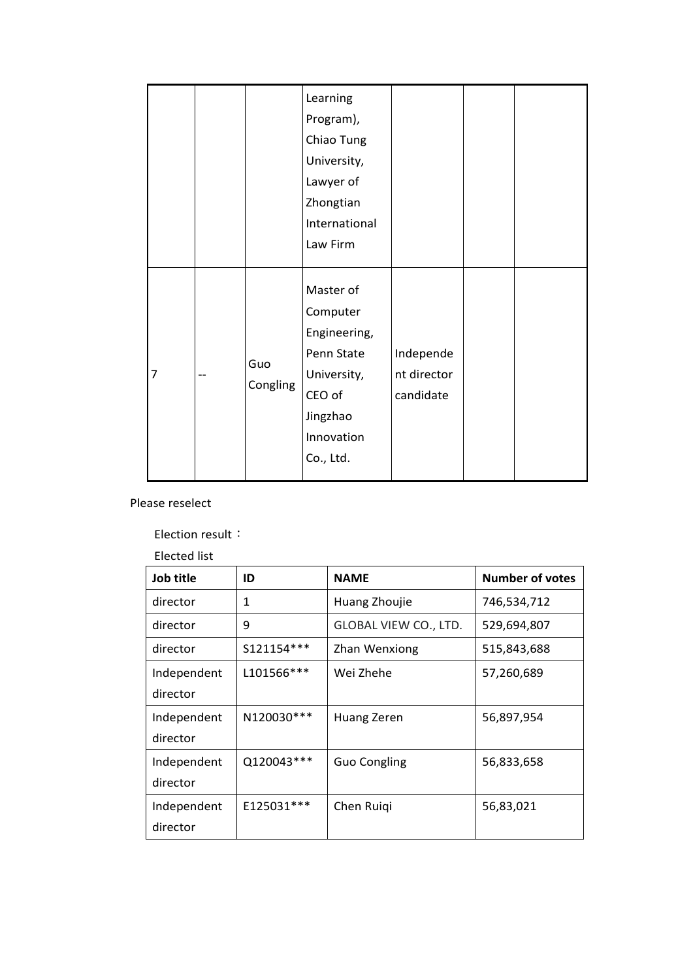|                |                 | Learning<br>Program),<br>Chiao Tung<br>University,<br>Lawyer of<br>Zhongtian<br>International<br>Law Firm           |                                       |  |
|----------------|-----------------|---------------------------------------------------------------------------------------------------------------------|---------------------------------------|--|
| $\overline{7}$ | Guo<br>Congling | Master of<br>Computer<br>Engineering,<br>Penn State<br>University,<br>CEO of<br>Jingzhao<br>Innovation<br>Co., Ltd. | Independe<br>nt director<br>candidate |  |

Please reselect

### Election result:

Elected list

| Job title               | ID         | <b>NAME</b>           | <b>Number of votes</b> |
|-------------------------|------------|-----------------------|------------------------|
| director                | 1          | Huang Zhoujie         | 746,534,712            |
| director                | 9          | GLOBAL VIEW CO., LTD. | 529,694,807            |
| director                | S121154*** | Zhan Wenxiong         | 515,843,688            |
| Independent<br>director | L101566*** | Wei Zhehe             | 57,260,689             |
| Independent<br>director | N120030*** | Huang Zeren           | 56,897,954             |
| Independent<br>director | Q120043*** | <b>Guo Congling</b>   | 56,833,658             |
| Independent<br>director | E125031*** | Chen Ruigi            | 56,83,021              |